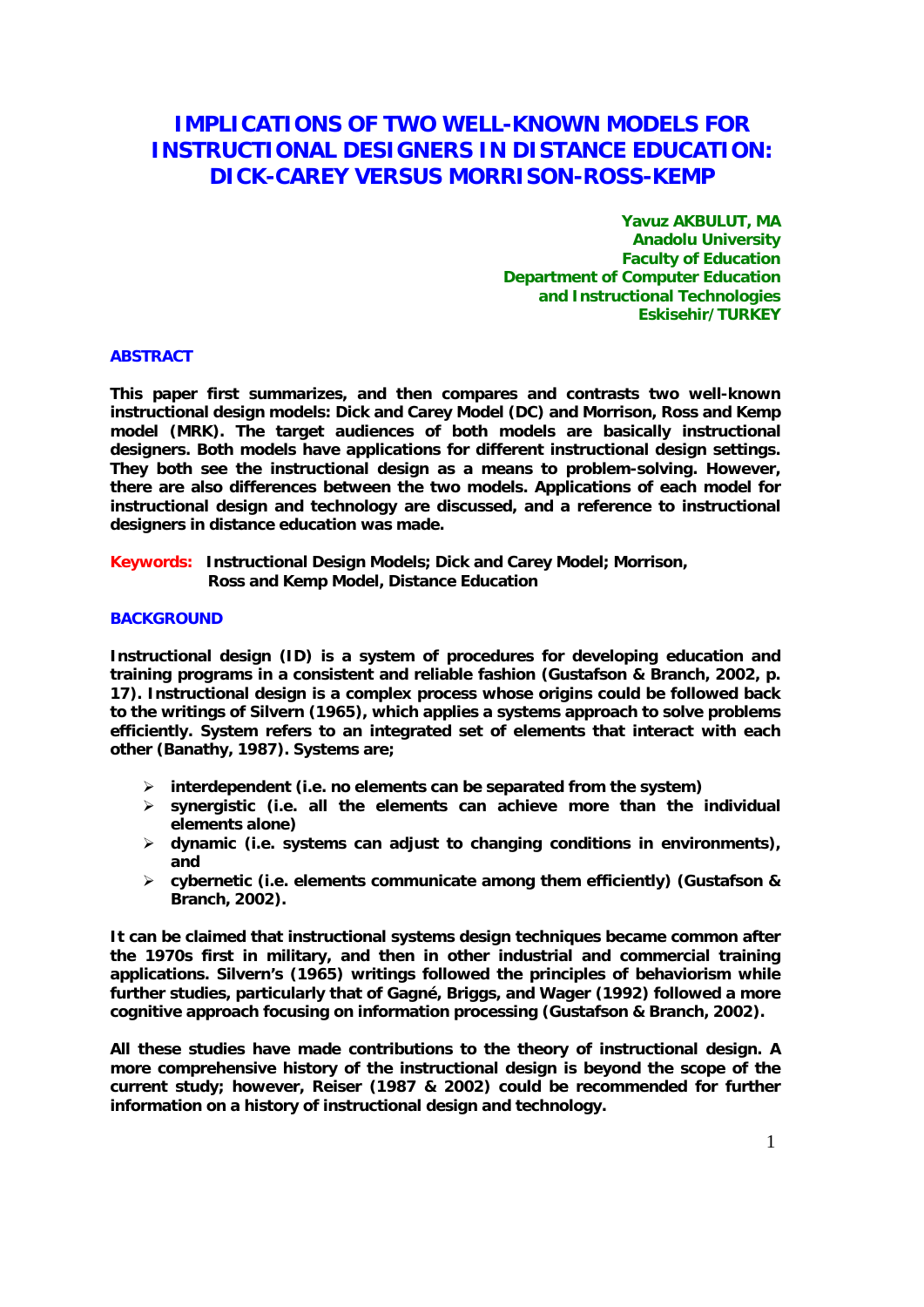# **IMPLICATIONS OF TWO WELL-KNOWN MODELS FOR INSTRUCTIONAL DESIGNERS IN DISTANCE EDUCATION: DICK-CAREY VERSUS MORRISON-ROSS-KEMP**

**Yavuz AKBULUT, MA Anadolu University Faculty of Education Department of Computer Education and Instructional Technologies Eskisehir/TURKEY** 

# **ABSTRACT**

**This paper first summarizes, and then compares and contrasts two well-known instructional design models: Dick and Carey Model (DC) and Morrison, Ross and Kemp model (MRK). The target audiences of both models are basically instructional designers. Both models have applications for different instructional design settings. They both see the instructional design as a means to problem-solving. However, there are also differences between the two models. Applications of each model for instructional design and technology are discussed, and a reference to instructional designers in distance education was made.** 

**Keywords: Instructional Design Models; Dick and Carey Model; Morrison, Ross and Kemp Model, Distance Education** 

### **BACKGROUND**

**Instructional design (ID) is a system of procedures for developing education and training programs in a consistent and reliable fashion (Gustafson & Branch, 2002, p. 17). Instructional design is a complex process whose origins could be followed back to the writings of Silvern (1965), which applies a systems approach to solve problems efficiently. System refers to an integrated set of elements that interact with each other (Banathy, 1987). Systems are;** 

- ¾ **interdependent (i.e. no elements can be separated from the system)**
- ¾ **synergistic (i.e. all the elements can achieve more than the individual elements alone)**
- ¾ **dynamic (i.e. systems can adjust to changing conditions in environments), and**
- ¾ **cybernetic (i.e. elements communicate among them efficiently) (Gustafson & Branch, 2002).**

**It can be claimed that instructional systems design techniques became common after the 1970s first in military, and then in other industrial and commercial training applications. Silvern's (1965) writings followed the principles of behaviorism while further studies, particularly that of Gagné, Briggs, and Wager (1992) followed a more cognitive approach focusing on information processing (Gustafson & Branch, 2002).** 

**All these studies have made contributions to the theory of instructional design. A more comprehensive history of the instructional design is beyond the scope of the current study; however, Reiser (1987 & 2002) could be recommended for further information on a history of instructional design and technology.**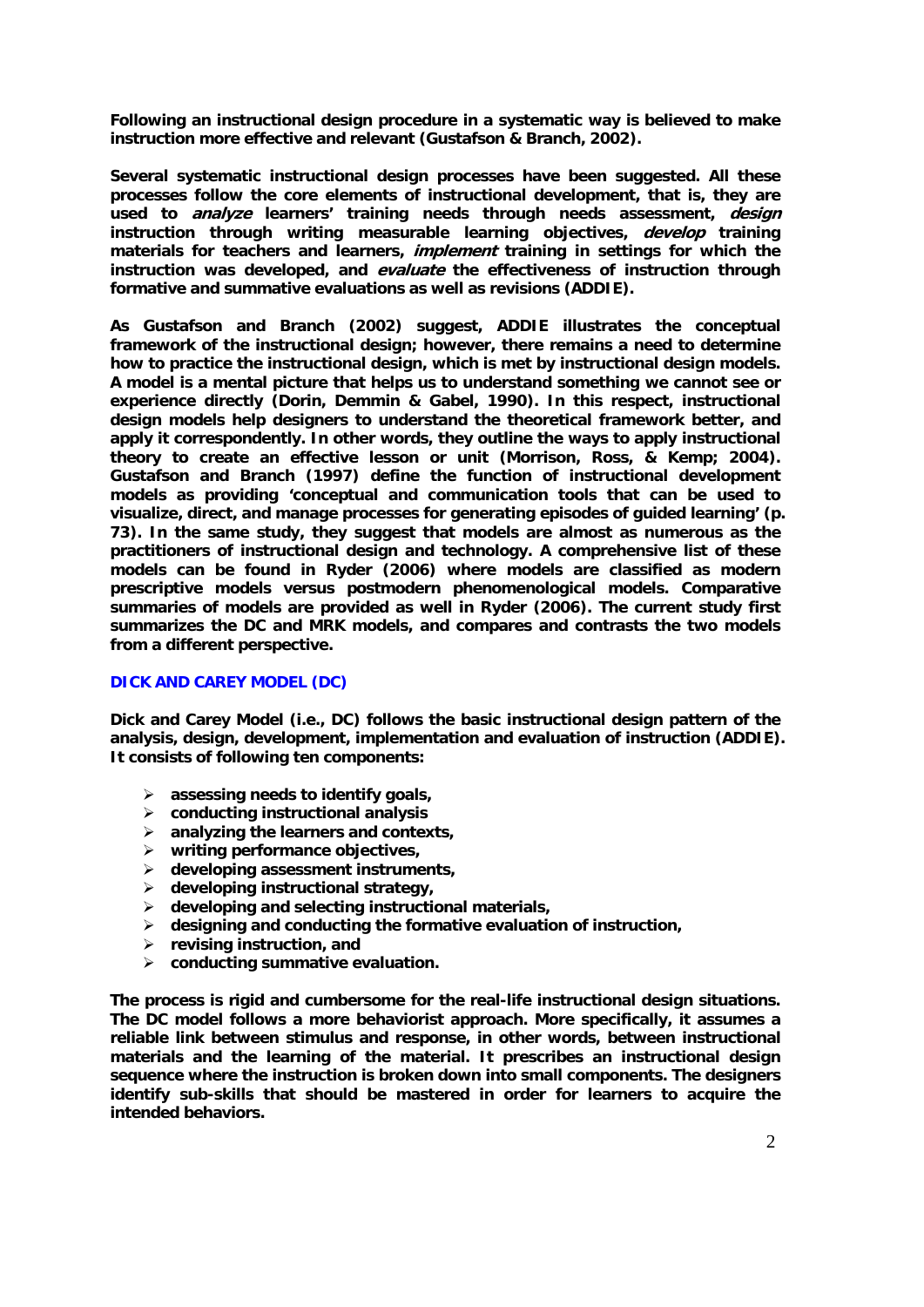**Following an instructional design procedure in a systematic way is believed to make instruction more effective and relevant (Gustafson & Branch, 2002).** 

**Several systematic instructional design processes have been suggested. All these processes follow the core elements of instructional development, that is, they are used to analyze learners' training needs through needs assessment, design instruction through writing measurable learning objectives, develop training materials for teachers and learners, implement training in settings for which the instruction was developed, and evaluate the effectiveness of instruction through formative and summative evaluations as well as revisions (ADDIE).** 

**As Gustafson and Branch (2002) suggest, ADDIE illustrates the conceptual framework of the instructional design; however, there remains a need to determine how to practice the instructional design, which is met by instructional design models. A model is a mental picture that helps us to understand something we cannot see or experience directly (Dorin, Demmin & Gabel, 1990). In this respect, instructional design models help designers to understand the theoretical framework better, and apply it correspondently. In other words, they outline the ways to apply instructional theory to create an effective lesson or unit (Morrison, Ross, & Kemp; 2004). Gustafson and Branch (1997) define the function of instructional development models as providing 'conceptual and communication tools that can be used to visualize, direct, and manage processes for generating episodes of guided learning' (p. 73). In the same study, they suggest that models are almost as numerous as the practitioners of instructional design and technology. A comprehensive list of these models can be found in Ryder (2006) where models are classified as modern prescriptive models versus postmodern phenomenological models. Comparative summaries of models are provided as well in Ryder (2006). The current study first summarizes the DC and MRK models, and compares and contrasts the two models from a different perspective.** 

# **DICK AND CAREY MODEL (DC)**

**Dick and Carey Model (i.e., DC) follows the basic instructional design pattern of the analysis, design, development, implementation and evaluation of instruction (ADDIE). It consists of following ten components:** 

- ¾ **assessing needs to identify goals,**
- ¾ **conducting instructional analysis**
- ¾ **analyzing the learners and contexts,**
- ¾ **writing performance objectives,**
- ¾ **developing assessment instruments,**
- ¾ **developing instructional strategy,**
- ¾ **developing and selecting instructional materials,**
- ¾ **designing and conducting the formative evaluation of instruction,**
- ¾ **revising instruction, and**
- ¾ **conducting summative evaluation.**

**The process is rigid and cumbersome for the real-life instructional design situations. The DC model follows a more behaviorist approach. More specifically, it assumes a reliable link between stimulus and response, in other words, between instructional materials and the learning of the material. It prescribes an instructional design sequence where the instruction is broken down into small components. The designers identify sub-skills that should be mastered in order for learners to acquire the intended behaviors.**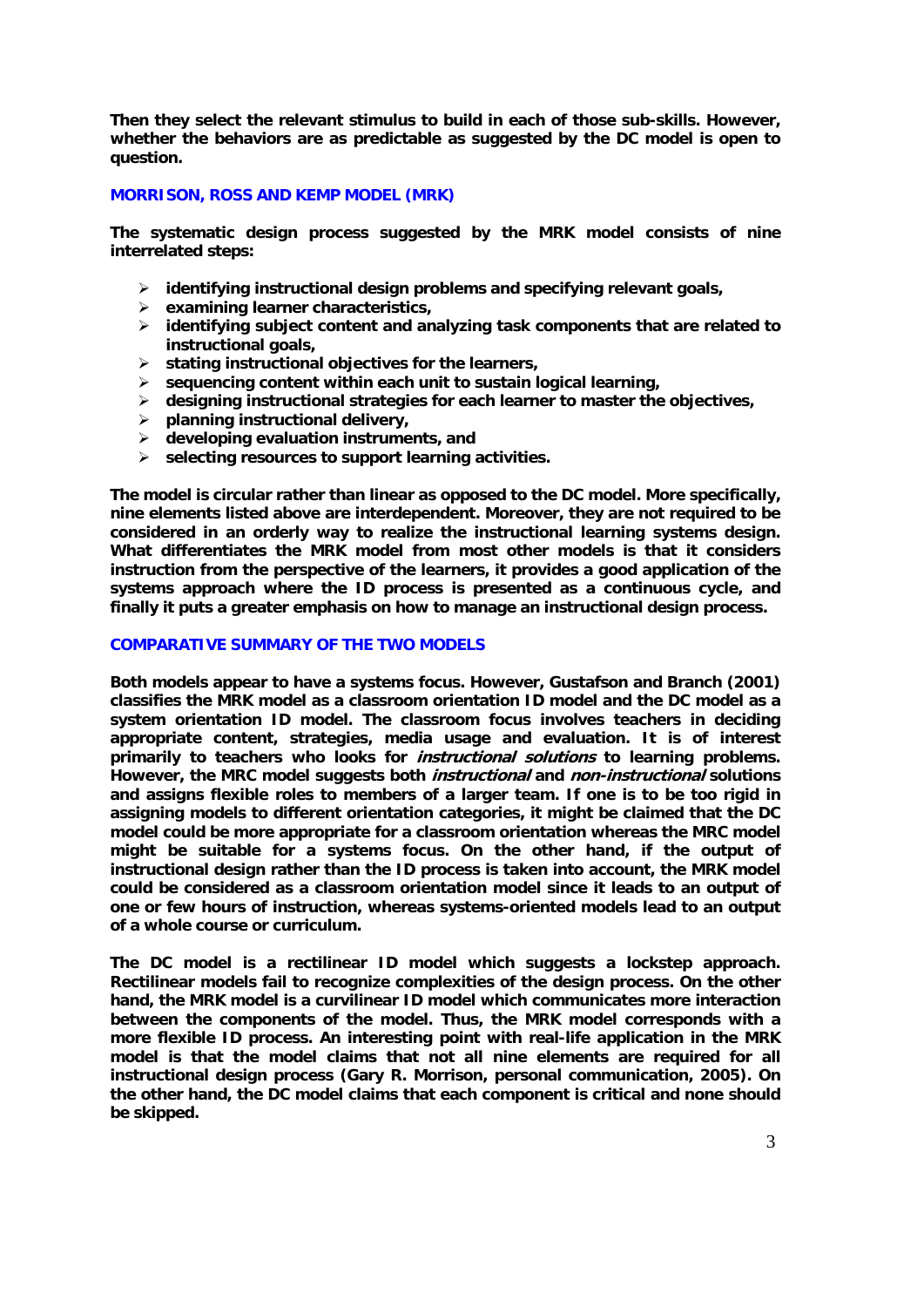**Then they select the relevant stimulus to build in each of those sub-skills. However, whether the behaviors are as predictable as suggested by the DC model is open to question.** 

# **MORRISON, ROSS AND KEMP MODEL (MRK)**

**The systematic design process suggested by the MRK model consists of nine interrelated steps:** 

- ¾ **identifying instructional design problems and specifying relevant goals,**
- ¾ **examining learner characteristics,**
- ¾ **identifying subject content and analyzing task components that are related to instructional goals,**
- ¾ **stating instructional objectives for the learners,**
- ¾ **sequencing content within each unit to sustain logical learning,**
- ¾ **designing instructional strategies for each learner to master the objectives,**
- ¾ **planning instructional delivery,**
- ¾ **developing evaluation instruments, and**
- ¾ **selecting resources to support learning activities.**

**The model is circular rather than linear as opposed to the DC model. More specifically, nine elements listed above are interdependent. Moreover, they are not required to be considered in an orderly way to realize the instructional learning systems design. What differentiates the MRK model from most other models is that it considers instruction from the perspective of the learners, it provides a good application of the systems approach where the ID process is presented as a continuous cycle, and finally it puts a greater emphasis on how to manage an instructional design process.** 

### **COMPARATIVE SUMMARY OF THE TWO MODELS**

**Both models appear to have a systems focus. However, Gustafson and Branch (2001) classifies the MRK model as a classroom orientation ID model and the DC model as a system orientation ID model. The classroom focus involves teachers in deciding appropriate content, strategies, media usage and evaluation. It is of interest primarily to teachers who looks for instructional solutions to learning problems. However, the MRC model suggests both instructional and non-instructional solutions and assigns flexible roles to members of a larger team. If one is to be too rigid in assigning models to different orientation categories, it might be claimed that the DC model could be more appropriate for a classroom orientation whereas the MRC model might be suitable for a systems focus. On the other hand, if the output of instructional design rather than the ID process is taken into account, the MRK model could be considered as a classroom orientation model since it leads to an output of one or few hours of instruction, whereas systems-oriented models lead to an output of a whole course or curriculum.** 

**The DC model is a rectilinear ID model which suggests a lockstep approach. Rectilinear models fail to recognize complexities of the design process. On the other hand, the MRK model is a curvilinear ID model which communicates more interaction between the components of the model. Thus, the MRK model corresponds with a more flexible ID process. An interesting point with real-life application in the MRK model is that the model claims that not all nine elements are required for all instructional design process (Gary R. Morrison, personal communication, 2005). On the other hand, the DC model claims that each component is critical and none should be skipped.**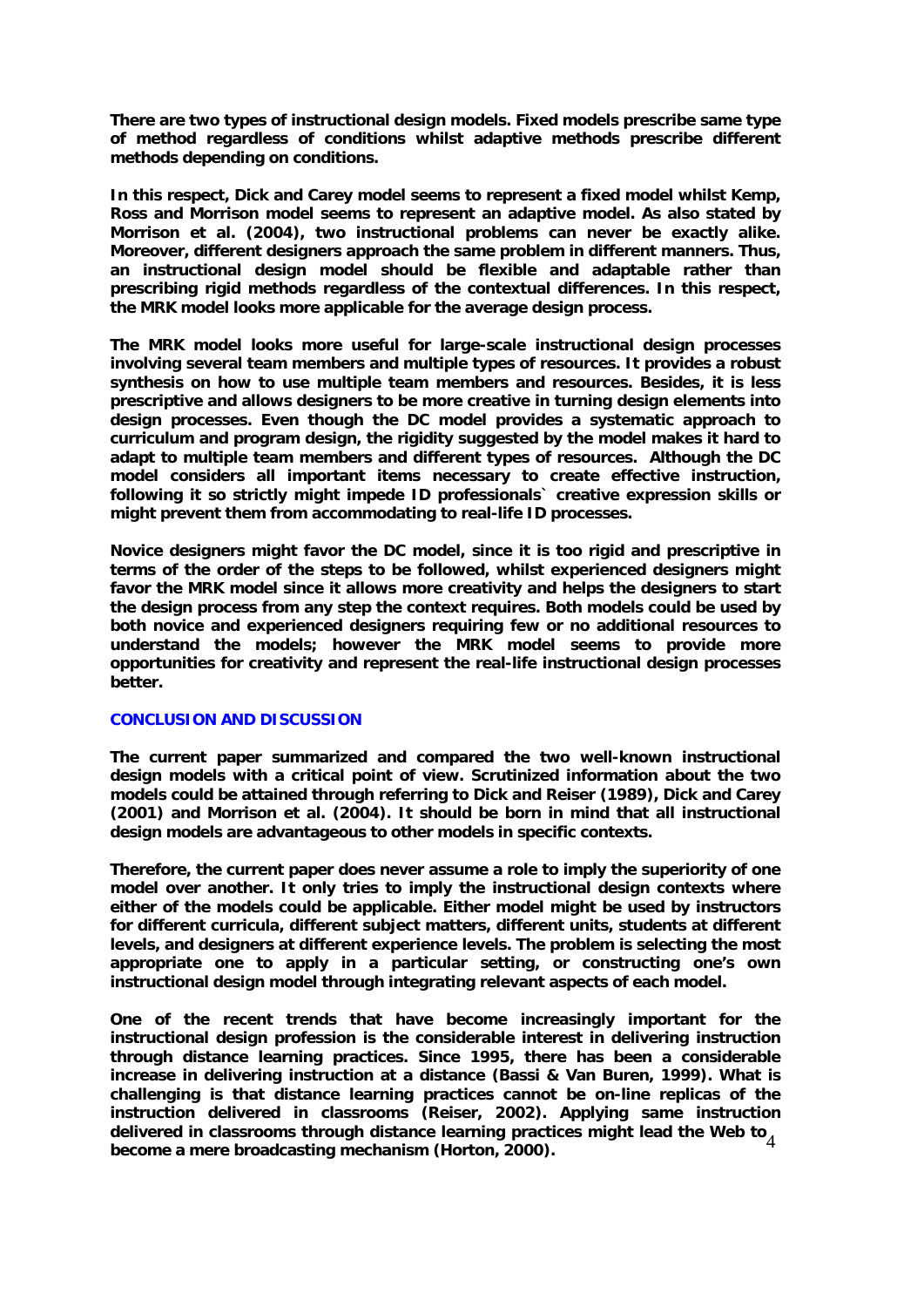**There are two types of instructional design models. Fixed models prescribe same type of method regardless of conditions whilst adaptive methods prescribe different methods depending on conditions.** 

**In this respect, Dick and Carey model seems to represent a fixed model whilst Kemp, Ross and Morrison model seems to represent an adaptive model. As also stated by Morrison et al. (2004), two instructional problems can never be exactly alike. Moreover, different designers approach the same problem in different manners. Thus, an instructional design model should be flexible and adaptable rather than prescribing rigid methods regardless of the contextual differences. In this respect, the MRK model looks more applicable for the average design process.** 

**The MRK model looks more useful for large-scale instructional design processes involving several team members and multiple types of resources. It provides a robust synthesis on how to use multiple team members and resources. Besides, it is less prescriptive and allows designers to be more creative in turning design elements into design processes. Even though the DC model provides a systematic approach to curriculum and program design, the rigidity suggested by the model makes it hard to adapt to multiple team members and different types of resources. Although the DC model considers all important items necessary to create effective instruction, following it so strictly might impede ID professionals` creative expression skills or might prevent them from accommodating to real-life ID processes.** 

**Novice designers might favor the DC model, since it is too rigid and prescriptive in terms of the order of the steps to be followed, whilst experienced designers might favor the MRK model since it allows more creativity and helps the designers to start the design process from any step the context requires. Both models could be used by both novice and experienced designers requiring few or no additional resources to understand the models; however the MRK model seems to provide more opportunities for creativity and represent the real-life instructional design processes better.** 

### **CONCLUSION AND DISCUSSION**

**The current paper summarized and compared the two well-known instructional design models with a critical point of view. Scrutinized information about the two models could be attained through referring to Dick and Reiser (1989), Dick and Carey (2001) and Morrison et al. (2004). It should be born in mind that all instructional design models are advantageous to other models in specific contexts.** 

**Therefore, the current paper does never assume a role to imply the superiority of one model over another. It only tries to imply the instructional design contexts where either of the models could be applicable. Either model might be used by instructors for different curricula, different subject matters, different units, students at different levels, and designers at different experience levels. The problem is selecting the most appropriate one to apply in a particular setting, or constructing one's own instructional design model through integrating relevant aspects of each model.** 

delivered in classrooms through distance learning practices might lead the Web to <sup>2</sup><br>became a mere broadcasting mechanism (Herton, 2000) **One of the recent trends that have become increasingly important for the instructional design profession is the considerable interest in delivering instruction through distance learning practices. Since 1995, there has been a considerable increase in delivering instruction at a distance (Bassi & Van Buren, 1999). What is challenging is that distance learning practices cannot be on-line replicas of the instruction delivered in classrooms (Reiser, 2002). Applying same instruction become a mere broadcasting mechanism (Horton, 2000).**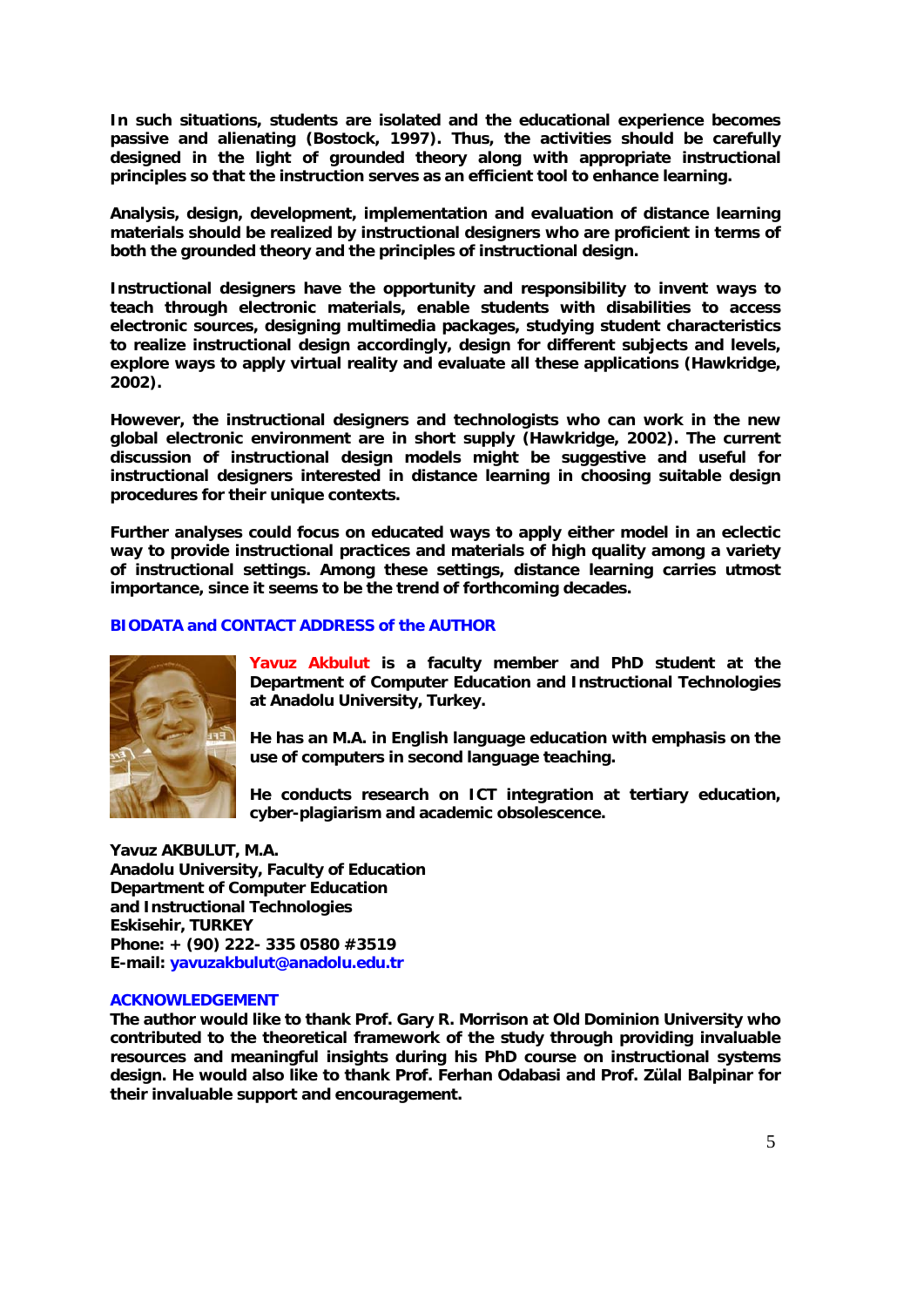**In such situations, students are isolated and the educational experience becomes passive and alienating (Bostock, 1997). Thus, the activities should be carefully designed in the light of grounded theory along with appropriate instructional principles so that the instruction serves as an efficient tool to enhance learning.** 

**Analysis, design, development, implementation and evaluation of distance learning materials should be realized by instructional designers who are proficient in terms of both the grounded theory and the principles of instructional design.** 

**Instructional designers have the opportunity and responsibility to invent ways to teach through electronic materials, enable students with disabilities to access electronic sources, designing multimedia packages, studying student characteristics to realize instructional design accordingly, design for different subjects and levels, explore ways to apply virtual reality and evaluate all these applications (Hawkridge, 2002).** 

**However, the instructional designers and technologists who can work in the new global electronic environment are in short supply (Hawkridge, 2002). The current discussion of instructional design models might be suggestive and useful for instructional designers interested in distance learning in choosing suitable design procedures for their unique contexts.** 

**Further analyses could focus on educated ways to apply either model in an eclectic way to provide instructional practices and materials of high quality among a variety of instructional settings. Among these settings, distance learning carries utmost importance, since it seems to be the trend of forthcoming decades.** 

## **BIODATA and CONTACT ADDRESS of the AUTHOR**



**Yavuz Akbulut is a faculty member and PhD student at the Department of Computer Education and Instructional Technologies at Anadolu University, Turkey.** 

**He has an M.A. in English language education with emphasis on the use of computers in second language teaching.** 

**He conducts research on ICT integration at tertiary education, cyber-plagiarism and academic obsolescence.** 

**Yavuz AKBULUT, M.A. Anadolu University, Faculty of Education Department of Computer Education and Instructional Technologies Eskisehir, TURKEY Phone: + (90) 222- 335 0580 #3519 E-mail: yavuzakbulut@anadolu.edu.tr** 

#### **ACKNOWLEDGEMENT**

**The author would like to thank Prof. Gary R. Morrison at Old Dominion University who contributed to the theoretical framework of the study through providing invaluable resources and meaningful insights during his PhD course on instructional systems design. He would also like to thank Prof. Ferhan Odabasi and Prof. Zülal Balpinar for their invaluable support and encouragement.**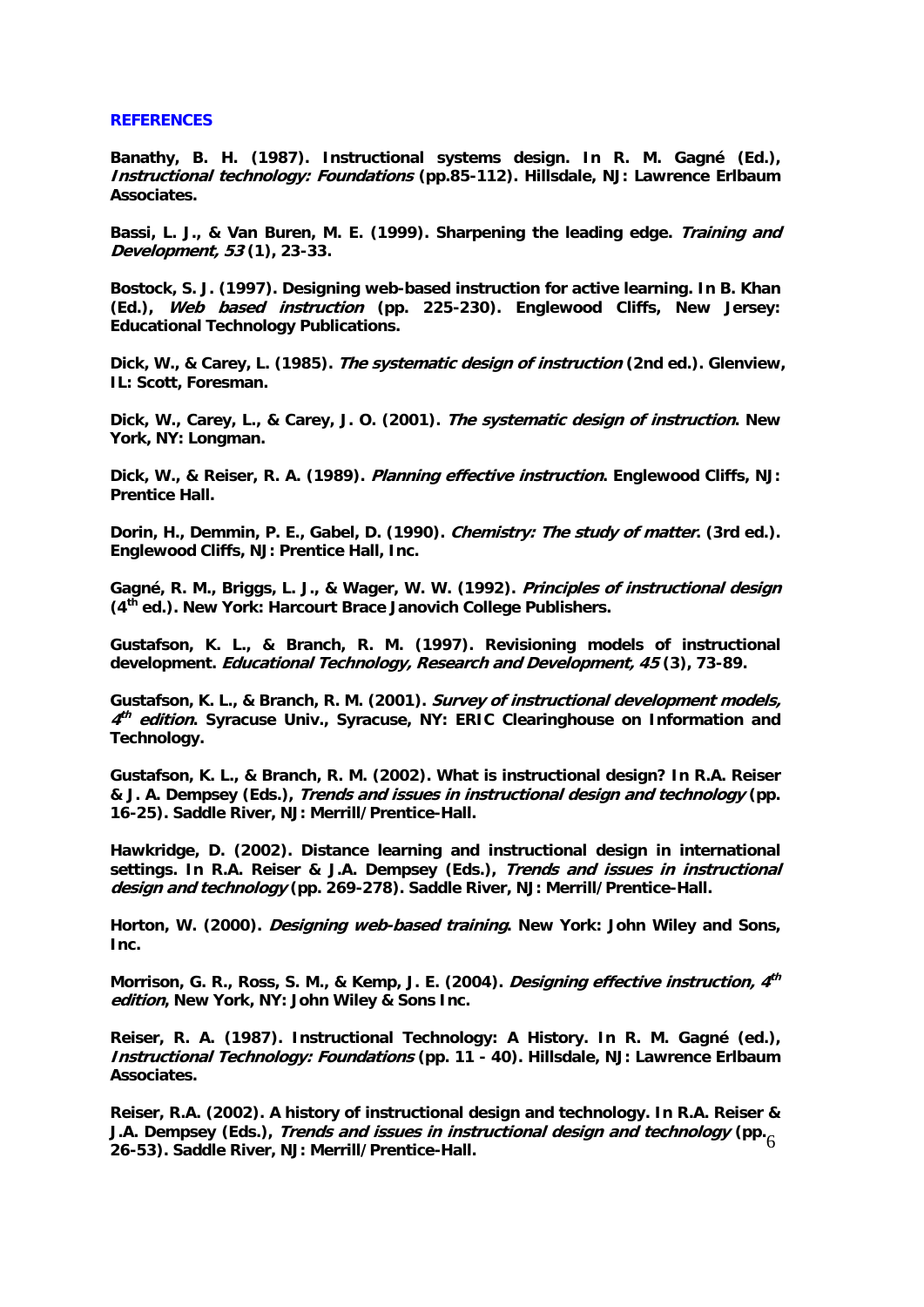#### **REFERENCES**

**Banathy, B. H. (1987). Instructional systems design. In R. M. Gagné (Ed.), Instructional technology: Foundations (pp.85-112). Hillsdale, NJ: Lawrence Erlbaum Associates.** 

**Bassi, L. J., & Van Buren, M. E. (1999). Sharpening the leading edge. Training and Development, 53 (1), 23-33.** 

**Bostock, S. J. (1997). Designing web-based instruction for active learning. In B. Khan (Ed.), Web based instruction (pp. 225-230). Englewood Cliffs, New Jersey: Educational Technology Publications.** 

**Dick, W., & Carey, L. (1985). The systematic design of instruction (2nd ed.). Glenview, IL: Scott, Foresman.** 

**Dick, W., Carey, L., & Carey, J. O. (2001). The systematic design of instruction. New York, NY: Longman.** 

**Dick, W., & Reiser, R. A. (1989). Planning effective instruction. Englewood Cliffs, NJ: Prentice Hall.** 

**Dorin, H., Demmin, P. E., Gabel, D. (1990). Chemistry: The study of matter. (3rd ed.). Englewood Cliffs, NJ: Prentice Hall, Inc.** 

**Gagné, R. M., Briggs, L. J., & Wager, W. W. (1992). Principles of instructional design (4th ed.). New York: Harcourt Brace Janovich College Publishers.** 

**Gustafson, K. L., & Branch, R. M. (1997). Revisioning models of instructional development. Educational Technology, Research and Development, 45 (3), 73-89.** 

**Gustafson, K. L., & Branch, R. M. (2001). Survey of instructional development models, <sup>4</sup>th edition. Syracuse Univ., Syracuse, NY: ERIC Clearinghouse on Information and Technology.** 

**Gustafson, K. L., & Branch, R. M. (2002). What is instructional design? In R.A. Reiser & J. A. Dempsey (Eds.), Trends and issues in instructional design and technology (pp. 16-25). Saddle River, NJ: Merrill/Prentice-Hall.** 

**Hawkridge, D. (2002). Distance learning and instructional design in international settings. In R.A. Reiser & J.A. Dempsey (Eds.), Trends and issues in instructional design and technology (pp. 269-278). Saddle River, NJ: Merrill/Prentice-Hall.** 

**Horton, W. (2000). Designing web-based training. New York: John Wiley and Sons, Inc.** 

**Morrison, G. R., Ross, S. M., & Kemp, J. E. (2004). Designing effective instruction, 4th edition, New York, NY: John Wiley & Sons Inc.** 

**Reiser, R. A. (1987). Instructional Technology: A History. In R. M. Gagné (ed.), Instructional Technology: Foundations (pp. 11 - 40). Hillsdale, NJ: Lawrence Erlbaum Associates.** 

6 **J.A. Dempsey (Eds.), Trends and issues in instructional design and technology (pp. Reiser, R.A. (2002). A history of instructional design and technology. In R.A. Reiser & 26-53). Saddle River, NJ: Merrill/Prentice-Hall.**